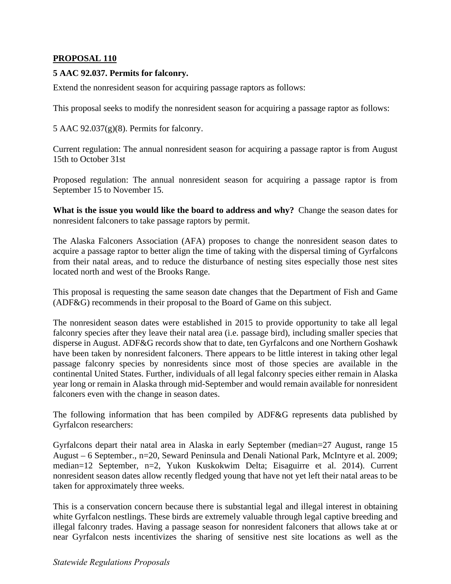## **PROPOSAL 110**

## **5 AAC 92.037. Permits for falconry.**

Extend the nonresident season for acquiring passage raptors as follows:

This proposal seeks to modify the nonresident season for acquiring a passage raptor as follows:

5 AAC 92.037(g)(8). Permits for falconry.

Current regulation: The annual nonresident season for acquiring a passage raptor is from August 15th to October 31st

Proposed regulation: The annual nonresident season for acquiring a passage raptor is from September 15 to November 15.

**What is the issue you would like the board to address and why?** Change the season dates for nonresident falconers to take passage raptors by permit.

The Alaska Falconers Association (AFA) proposes to change the nonresident season dates to acquire a passage raptor to better align the time of taking with the dispersal timing of Gyrfalcons from their natal areas, and to reduce the disturbance of nesting sites especially those nest sites located north and west of the Brooks Range.

This proposal is requesting the same season date changes that the Department of Fish and Game (ADF&G) recommends in their proposal to the Board of Game on this subject.

The nonresident season dates were established in 2015 to provide opportunity to take all legal falconry species after they leave their natal area (i.e. passage bird), including smaller species that disperse in August. ADF&G records show that to date, ten Gyrfalcons and one Northern Goshawk have been taken by nonresident falconers. There appears to be little interest in taking other legal passage falconry species by nonresidents since most of those species are available in the continental United States. Further, individuals of all legal falconry species either remain in Alaska year long or remain in Alaska through mid-September and would remain available for nonresident falconers even with the change in season dates.

The following information that has been compiled by ADF&G represents data published by Gyrfalcon researchers:

Gyrfalcons depart their natal area in Alaska in early September (median=27 August, range 15 August – 6 September., n=20, Seward Peninsula and Denali National Park, McIntyre et al. 2009; median=12 September, n=2, Yukon Kuskokwim Delta; Eisaguirre et al. 2014). Current nonresident season dates allow recently fledged young that have not yet left their natal areas to be taken for approximately three weeks.

This is a conservation concern because there is substantial legal and illegal interest in obtaining white Gyrfalcon nestlings. These birds are extremely valuable through legal captive breeding and illegal falconry trades. Having a passage season for nonresident falconers that allows take at or near Gyrfalcon nests incentivizes the sharing of sensitive nest site locations as well as the